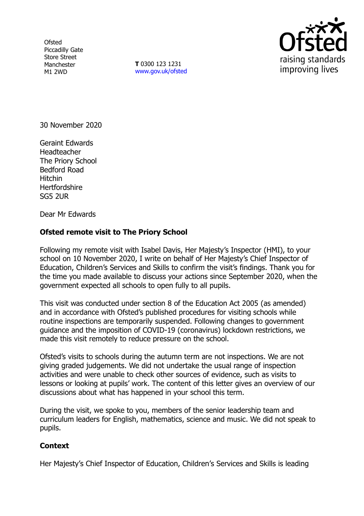**Ofsted** Piccadilly Gate Store Street Manchester M1 2WD

**T** 0300 123 1231 [www.gov.uk/ofsted](http://www.gov.uk/ofsted)



30 November 2020

Geraint Edwards Headteacher The Priory School Bedford Road Hitchin **Hertfordshire** SG5 2UR

Dear Mr Edwards

## **Ofsted remote visit to The Priory School**

Following my remote visit with Isabel Davis, Her Majesty's Inspector (HMI), to your school on 10 November 2020, I write on behalf of Her Majesty's Chief Inspector of Education, Children's Services and Skills to confirm the visit's findings. Thank you for the time you made available to discuss your actions since September 2020, when the government expected all schools to open fully to all pupils.

This visit was conducted under section 8 of the Education Act 2005 (as amended) and in accordance with Ofsted's published procedures for visiting schools while routine inspections are temporarily suspended. Following changes to government guidance and the imposition of COVID-19 (coronavirus) lockdown restrictions, we made this visit remotely to reduce pressure on the school.

Ofsted's visits to schools during the autumn term are not inspections. We are not giving graded judgements. We did not undertake the usual range of inspection activities and were unable to check other sources of evidence, such as visits to lessons or looking at pupils' work. The content of this letter gives an overview of our discussions about what has happened in your school this term.

During the visit, we spoke to you, members of the senior leadership team and curriculum leaders for English, mathematics, science and music. We did not speak to pupils.

## **Context**

Her Majesty's Chief Inspector of Education, Children's Services and Skills is leading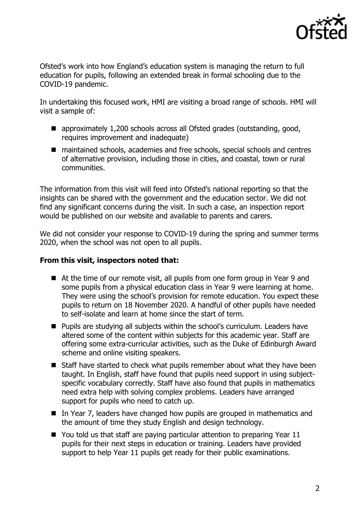

Ofsted's work into how England's education system is managing the return to full education for pupils, following an extended break in formal schooling due to the COVID-19 pandemic.

In undertaking this focused work, HMI are visiting a broad range of schools. HMI will visit a sample of:

- approximately 1,200 schools across all Ofsted grades (outstanding, good, requires improvement and inadequate)
- maintained schools, academies and free schools, special schools and centres of alternative provision, including those in cities, and coastal, town or rural communities.

The information from this visit will feed into Ofsted's national reporting so that the insights can be shared with the government and the education sector. We did not find any significant concerns during the visit. In such a case, an inspection report would be published on our website and available to parents and carers.

We did not consider your response to COVID-19 during the spring and summer terms 2020, when the school was not open to all pupils.

## **From this visit, inspectors noted that:**

- At the time of our remote visit, all pupils from one form group in Year 9 and some pupils from a physical education class in Year 9 were learning at home. They were using the school's provision for remote education. You expect these pupils to return on 18 November 2020. A handful of other pupils have needed to self-isolate and learn at home since the start of term.
- Pupils are studying all subjects within the school's curriculum. Leaders have altered some of the content within subjects for this academic year. Staff are offering some extra-curricular activities, such as the Duke of Edinburgh Award scheme and online visiting speakers.
- Staff have started to check what pupils remember about what they have been taught. In English, staff have found that pupils need support in using subjectspecific vocabulary correctly. Staff have also found that pupils in mathematics need extra help with solving complex problems. Leaders have arranged support for pupils who need to catch up.
- In Year 7, leaders have changed how pupils are grouped in mathematics and the amount of time they study English and design technology.
- You told us that staff are paying particular attention to preparing Year 11 pupils for their next steps in education or training. Leaders have provided support to help Year 11 pupils get ready for their public examinations.